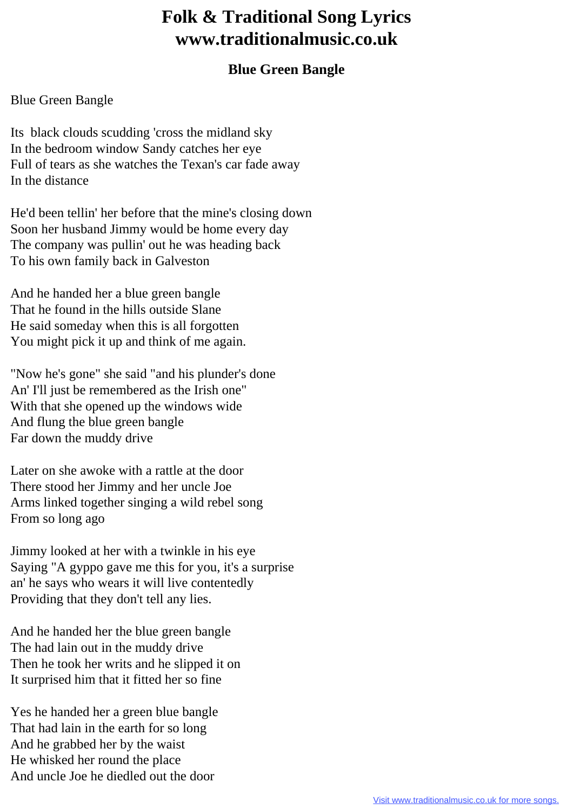## **Folk & Traditional Song Lyrics www.traditionalmusic.co.uk**

## **Blue Green Bangle**

## Blue Green Bangle

Its black clouds scudding 'cross the midland sky In the bedroom window Sandy catches her eye Full of tears as she watches the Texan's car fade away In the distance

He'd been tellin' her before that the mine's closing down Soon her husband Jimmy would be home every day The company was pullin' out he was heading back To his own family back in Galveston

And he handed her a blue green bangle That he found in the hills outside Slane He said someday when this is all forgotten You might pick it up and think of me again.

"Now he's gone" she said "and his plunder's done An' I'll just be remembered as the Irish one" With that she opened up the windows wide And flung the blue green bangle Far down the muddy drive

Later on she awoke with a rattle at the door There stood her Jimmy and her uncle Joe Arms linked together singing a wild rebel song From so long ago

Jimmy looked at her with a twinkle in his eye Saying "A gyppo gave me this for you, it's a surprise an' he says who wears it will live contentedly Providing that they don't tell any lies.

And he handed her the blue green bangle The had lain out in the muddy drive Then he took her writs and he slipped it on It surprised him that it fitted her so fine

Yes he handed her a green blue bangle That had lain in the earth for so long And he grabbed her by the waist He whisked her round the place And uncle Joe he diedled out the door